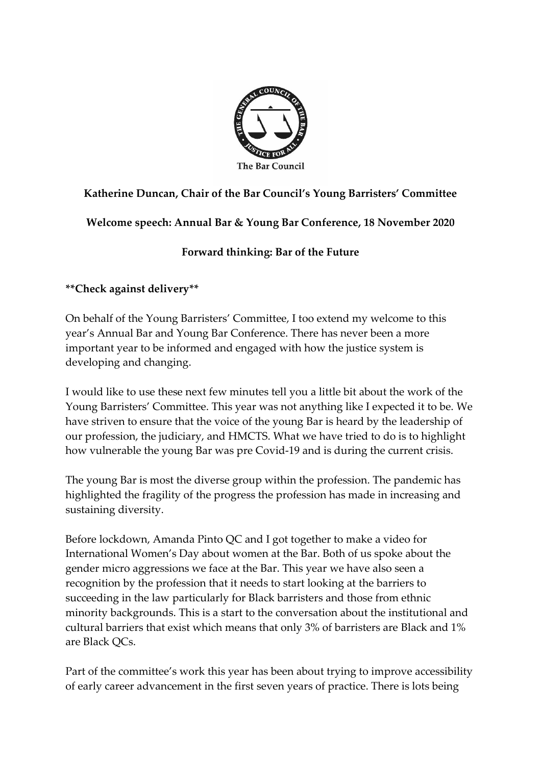

## **Katherine Duncan, Chair of the Bar Council's Young Barristers' Committee**

**Welcome speech: Annual Bar & Young Bar Conference, 18 November 2020**

## **Forward thinking: Bar of the Future**

**\*\*Check against delivery\*\***

On behalf of the Young Barristers' Committee, I too extend my welcome to this year's Annual Bar and Young Bar Conference. There has never been a more important year to be informed and engaged with how the justice system is developing and changing.

I would like to use these next few minutes tell you a little bit about the work of the Young Barristers' Committee. This year was not anything like I expected it to be. We have striven to ensure that the voice of the young Bar is heard by the leadership of our profession, the judiciary, and HMCTS. What we have tried to do is to highlight how vulnerable the young Bar was pre Covid-19 and is during the current crisis.

The young Bar is most the diverse group within the profession. The pandemic has highlighted the fragility of the progress the profession has made in increasing and sustaining diversity.

Before lockdown, Amanda Pinto QC and I got together to make a video for International Women's Day about women at the Bar. Both of us spoke about the gender micro aggressions we face at the Bar. This year we have also seen a recognition by the profession that it needs to start looking at the barriers to succeeding in the law particularly for Black barristers and those from ethnic minority backgrounds. This is a start to the conversation about the institutional and cultural barriers that exist which means that only 3% of barristers are Black and 1% are Black QCs.

Part of the committee's work this year has been about trying to improve accessibility of early career advancement in the first seven years of practice. There is lots being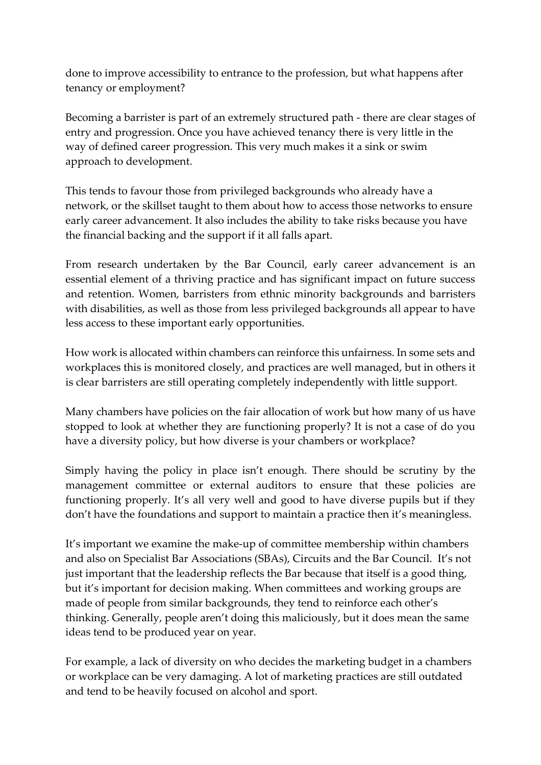done to improve accessibility to entrance to the profession, but what happens after tenancy or employment?

Becoming a barrister is part of an extremely structured path - there are clear stages of entry and progression. Once you have achieved tenancy there is very little in the way of defined career progression. This very much makes it a sink or swim approach to development.

This tends to favour those from privileged backgrounds who already have a network, or the skillset taught to them about how to access those networks to ensure early career advancement. It also includes the ability to take risks because you have the financial backing and the support if it all falls apart.

From research undertaken by the Bar Council, early career advancement is an essential element of a thriving practice and has significant impact on future success and retention. Women, barristers from ethnic minority backgrounds and barristers with disabilities, as well as those from less privileged backgrounds all appear to have less access to these important early opportunities.

How work is allocated within chambers can reinforce this unfairness. In some sets and workplaces this is monitored closely, and practices are well managed, but in others it is clear barristers are still operating completely independently with little support.

Many chambers have policies on the fair allocation of work but how many of us have stopped to look at whether they are functioning properly? It is not a case of do you have a diversity policy, but how diverse is your chambers or workplace?

Simply having the policy in place isn't enough. There should be scrutiny by the management committee or external auditors to ensure that these policies are functioning properly. It's all very well and good to have diverse pupils but if they don't have the foundations and support to maintain a practice then it's meaningless.

It's important we examine the make-up of committee membership within chambers and also on Specialist Bar Associations (SBAs), Circuits and the Bar Council. It's not just important that the leadership reflects the Bar because that itself is a good thing, but it's important for decision making. When committees and working groups are made of people from similar backgrounds, they tend to reinforce each other's thinking. Generally, people aren't doing this maliciously, but it does mean the same ideas tend to be produced year on year.

For example, a lack of diversity on who decides the marketing budget in a chambers or workplace can be very damaging. A lot of marketing practices are still outdated and tend to be heavily focused on alcohol and sport.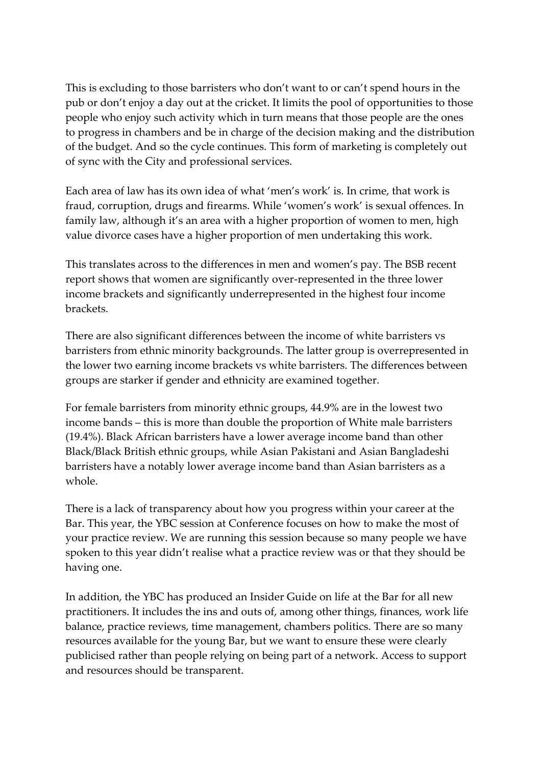This is excluding to those barristers who don't want to or can't spend hours in the pub or don't enjoy a day out at the cricket. It limits the pool of opportunities to those people who enjoy such activity which in turn means that those people are the ones to progress in chambers and be in charge of the decision making and the distribution of the budget. And so the cycle continues. This form of marketing is completely out of sync with the City and professional services.

Each area of law has its own idea of what 'men's work' is. In crime, that work is fraud, corruption, drugs and firearms. While 'women's work' is sexual offences. In family law, although it's an area with a higher proportion of women to men, high value divorce cases have a higher proportion of men undertaking this work.

This translates across to the differences in men and women's pay. The BSB recent report shows that women are significantly over-represented in the three lower income brackets and significantly underrepresented in the highest four income brackets.

There are also significant differences between the income of white barristers vs barristers from ethnic minority backgrounds. The latter group is overrepresented in the lower two earning income brackets vs white barristers. The differences between groups are starker if gender and ethnicity are examined together.

For female barristers from minority ethnic groups, 44.9% are in the lowest two income bands – this is more than double the proportion of White male barristers (19.4%). Black African barristers have a lower average income band than other Black/Black British ethnic groups, while Asian Pakistani and Asian Bangladeshi barristers have a notably lower average income band than Asian barristers as a whole.

There is a lack of transparency about how you progress within your career at the Bar. This year, the YBC session at Conference focuses on how to make the most of your practice review. We are running this session because so many people we have spoken to this year didn't realise what a practice review was or that they should be having one.

In addition, the YBC has produced an Insider Guide on life at the Bar for all new practitioners. It includes the ins and outs of, among other things, finances, work life balance, practice reviews, time management, chambers politics. There are so many resources available for the young Bar, but we want to ensure these were clearly publicised rather than people relying on being part of a network. Access to support and resources should be transparent.